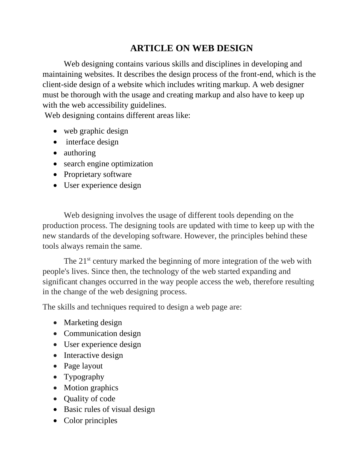## **ARTICLE ON WEB DESIGN**

Web designing contains various skills and disciplines in developing and maintaining websites. It describes the design process of the front-end, which is the client-side design of a website which includes writing markup. A web designer must be thorough with the usage and creating markup and also have to keep up with the web accessibility guidelines.

Web designing contains different areas like:

- web graphic design
- interface design
- authoring
- search engine optimization
- Proprietary software
- User experience design

Web designing involves the usage of different tools depending on the production process. The designing tools are updated with time to keep up with the new standards of the developing software. However, the principles behind these tools always remain the same.

The 21<sup>st</sup> century marked the beginning of more integration of the web with people's lives. Since then, the technology of the web started expanding and significant changes occurred in the way people access the web, therefore resulting in the change of the web designing process.

The skills and techniques required to design a web page are:

- Marketing design
- Communication design
- User experience design
- Interactive design
- Page layout
- Typography
- Motion graphics
- Quality of code
- Basic rules of visual design
- Color principles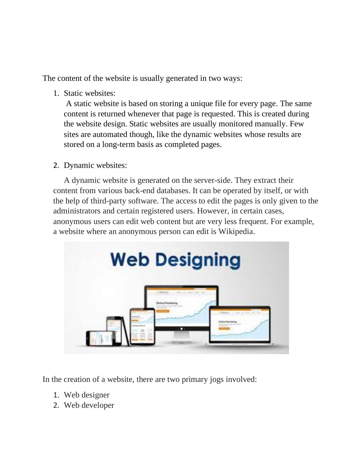The content of the website is usually generated in two ways:

1. Static websites:

A static website is based on storing a unique file for every page. The same content is returned whenever that page is requested. This is created during the website design. Static websites are usually monitored manually. Few sites are automated though, like the dynamic websites whose results are stored on a long-term basis as completed pages.

2. Dynamic websites:

A dynamic website is generated on the server-side. They extract their content from various back-end databases. It can be operated by itself, or with the help of third-party software. The access to edit the pages is only given to the administrators and certain registered users. However, in certain cases, anonymous users can edit web content but are very less frequent. For example, a website where an anonymous person can edit is Wikipedia.



In the creation of a website, there are two primary jogs involved:

- 1. Web designer
- 2. Web developer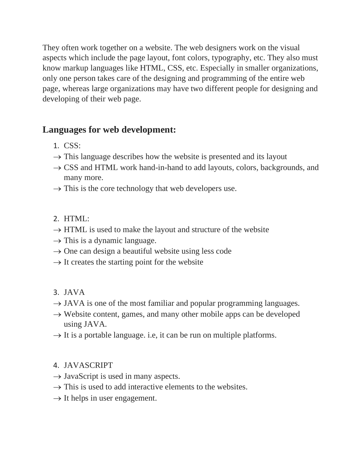They often work together on a website. The web designers work on the visual aspects which include the page layout, font colors, typography, etc. They also must know markup languages like HTML, CSS, etc. Especially in smaller organizations, only one person takes care of the designing and programming of the entire web page, whereas large organizations may have two different people for designing and developing of their web page.

## **Languages for web development:**

- 1. CSS:
- $\rightarrow$  This language describes how the website is presented and its layout
- $\rightarrow$  CSS and HTML work hand-in-hand to add layouts, colors, backgrounds, and many more.
- $\rightarrow$  This is the core technology that web developers use.
- 2. HTML:
- $\rightarrow$  HTML is used to make the layout and structure of the website
- $\rightarrow$  This is a dynamic language.
- $\rightarrow$  One can design a beautiful website using less code
- $\rightarrow$  It creates the starting point for the website
- 3. JAVA
- $\rightarrow$  JAVA is one of the most familiar and popular programming languages.
- $\rightarrow$  Website content, games, and many other mobile apps can be developed using JAVA.
- $\rightarrow$  It is a portable language. i.e, it can be run on multiple platforms.
- 4. JAVASCRIPT
- $\rightarrow$  JavaScript is used in many aspects.
- $\rightarrow$  This is used to add interactive elements to the websites.
- $\rightarrow$  It helps in user engagement.